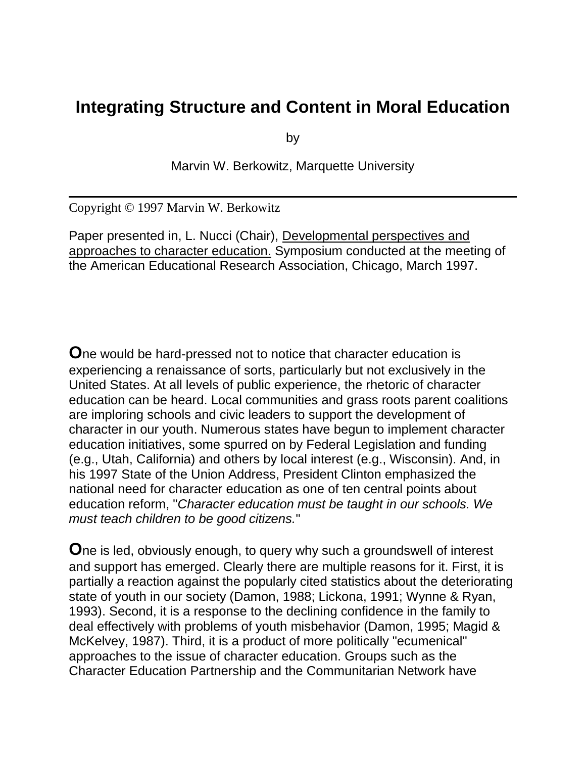## **Integrating Structure and Content in Moral Education**

by

Marvin W. Berkowitz, Marquette University

Copyright © 1997 Marvin W. Berkowitz

Paper presented in, L. Nucci (Chair), Developmental perspectives and approaches to character education. Symposium conducted at the meeting of the American Educational Research Association, Chicago, March 1997.

**O**ne would be hard-pressed not to notice that character education is experiencing a renaissance of sorts, particularly but not exclusively in the United States. At all levels of public experience, the rhetoric of character education can be heard. Local communities and grass roots parent coalitions are imploring schools and civic leaders to support the development of character in our youth. Numerous states have begun to implement character education initiatives, some spurred on by Federal Legislation and funding (e.g., Utah, California) and others by local interest (e.g., Wisconsin). And, in his 1997 State of the Union Address, President Clinton emphasized the national need for character education as one of ten central points about education reform, "*Character education must be taught in our schools. We must teach children to be good citizens.*"

**O**ne is led, obviously enough, to query why such a groundswell of interest and support has emerged. Clearly there are multiple reasons for it. First, it is partially a reaction against the popularly cited statistics about the deteriorating state of youth in our society (Damon, 1988; Lickona, 1991; Wynne & Ryan, 1993). Second, it is a response to the declining confidence in the family to deal effectively with problems of youth misbehavior (Damon, 1995; Magid & McKelvey, 1987). Third, it is a product of more politically "ecumenical" approaches to the issue of character education. Groups such as the Character Education Partnership and the Communitarian Network have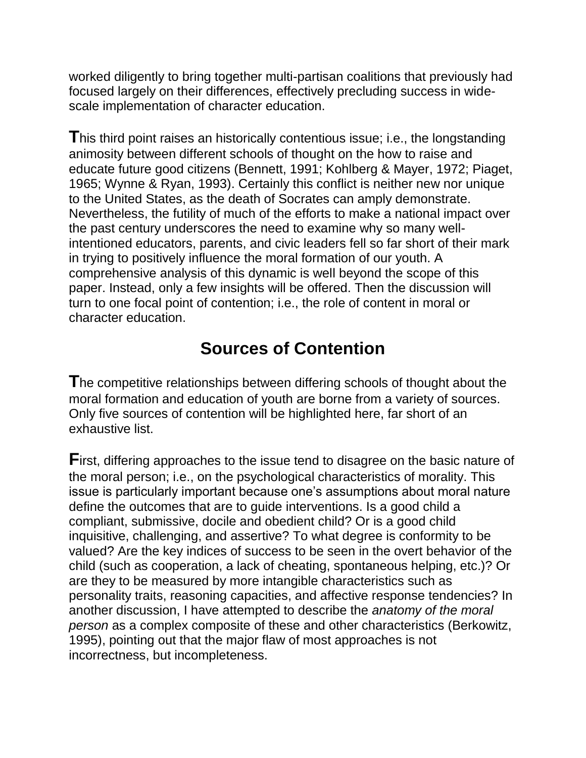worked diligently to bring together multi-partisan coalitions that previously had focused largely on their differences, effectively precluding success in widescale implementation of character education.

**T**his third point raises an historically contentious issue; i.e., the longstanding animosity between different schools of thought on the how to raise and educate future good citizens (Bennett, 1991; Kohlberg & Mayer, 1972; Piaget, 1965; Wynne & Ryan, 1993). Certainly this conflict is neither new nor unique to the United States, as the death of Socrates can amply demonstrate. Nevertheless, the futility of much of the efforts to make a national impact over the past century underscores the need to examine why so many wellintentioned educators, parents, and civic leaders fell so far short of their mark in trying to positively influence the moral formation of our youth. A comprehensive analysis of this dynamic is well beyond the scope of this paper. Instead, only a few insights will be offered. Then the discussion will turn to one focal point of contention; i.e., the role of content in moral or character education.

# **Sources of Contention**

**T**he competitive relationships between differing schools of thought about the moral formation and education of youth are borne from a variety of sources. Only five sources of contention will be highlighted here, far short of an exhaustive list.

**F**irst, differing approaches to the issue tend to disagree on the basic nature of the moral person; i.e., on the psychological characteristics of morality. This issue is particularly important because one's assumptions about moral nature define the outcomes that are to guide interventions. Is a good child a compliant, submissive, docile and obedient child? Or is a good child inquisitive, challenging, and assertive? To what degree is conformity to be valued? Are the key indices of success to be seen in the overt behavior of the child (such as cooperation, a lack of cheating, spontaneous helping, etc.)? Or are they to be measured by more intangible characteristics such as personality traits, reasoning capacities, and affective response tendencies? In another discussion, I have attempted to describe the *anatomy of the moral person* as a complex composite of these and other characteristics (Berkowitz, 1995), pointing out that the major flaw of most approaches is not incorrectness, but incompleteness.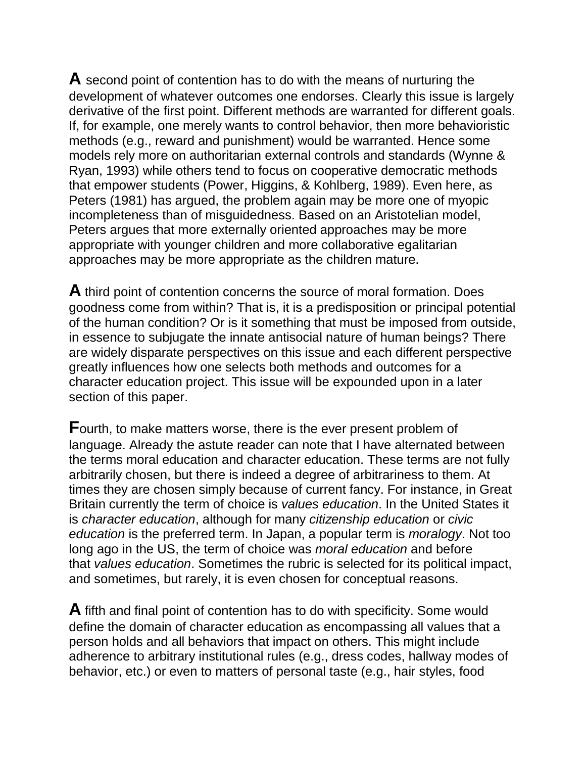**A** second point of contention has to do with the means of nurturing the development of whatever outcomes one endorses. Clearly this issue is largely derivative of the first point. Different methods are warranted for different goals. If, for example, one merely wants to control behavior, then more behavioristic methods (e.g., reward and punishment) would be warranted. Hence some models rely more on authoritarian external controls and standards (Wynne & Ryan, 1993) while others tend to focus on cooperative democratic methods that empower students (Power, Higgins, & Kohlberg, 1989). Even here, as Peters (1981) has argued, the problem again may be more one of myopic incompleteness than of misguidedness. Based on an Aristotelian model, Peters argues that more externally oriented approaches may be more appropriate with younger children and more collaborative egalitarian approaches may be more appropriate as the children mature.

**A** third point of contention concerns the source of moral formation. Does goodness come from within? That is, it is a predisposition or principal potential of the human condition? Or is it something that must be imposed from outside, in essence to subjugate the innate antisocial nature of human beings? There are widely disparate perspectives on this issue and each different perspective greatly influences how one selects both methods and outcomes for a character education project. This issue will be expounded upon in a later section of this paper.

**F**ourth, to make matters worse, there is the ever present problem of language. Already the astute reader can note that I have alternated between the terms moral education and character education. These terms are not fully arbitrarily chosen, but there is indeed a degree of arbitrariness to them. At times they are chosen simply because of current fancy. For instance, in Great Britain currently the term of choice is *values education*. In the United States it is *character education*, although for many *citizenship education* or *civic education* is the preferred term. In Japan, a popular term is *moralogy*. Not too long ago in the US, the term of choice was *moral education* and before that *values education*. Sometimes the rubric is selected for its political impact, and sometimes, but rarely, it is even chosen for conceptual reasons.

**A** fifth and final point of contention has to do with specificity. Some would define the domain of character education as encompassing all values that a person holds and all behaviors that impact on others. This might include adherence to arbitrary institutional rules (e.g., dress codes, hallway modes of behavior, etc.) or even to matters of personal taste (e.g., hair styles, food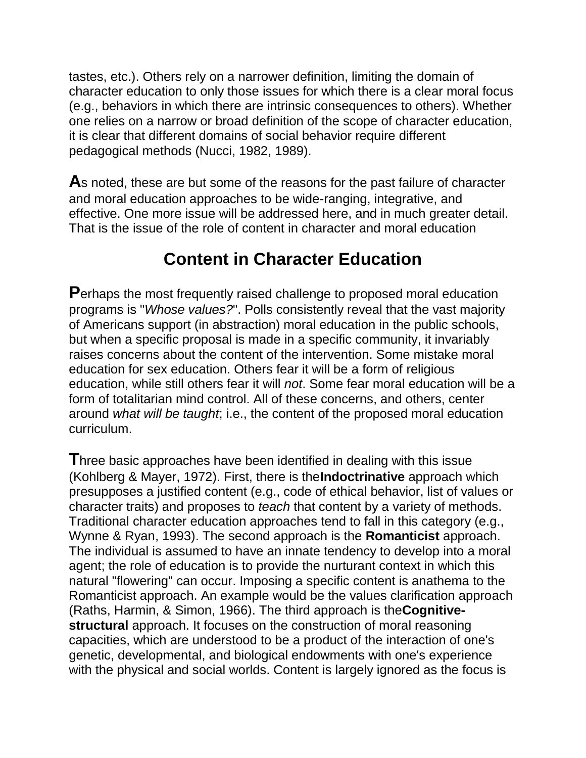tastes, etc.). Others rely on a narrower definition, limiting the domain of character education to only those issues for which there is a clear moral focus (e.g., behaviors in which there are intrinsic consequences to others). Whether one relies on a narrow or broad definition of the scope of character education, it is clear that different domains of social behavior require different pedagogical methods (Nucci, 1982, 1989).

**A**s noted, these are but some of the reasons for the past failure of character and moral education approaches to be wide-ranging, integrative, and effective. One more issue will be addressed here, and in much greater detail. That is the issue of the role of content in character and moral education

## **Content in Character Education**

**P**erhaps the most frequently raised challenge to proposed moral education programs is "*Whose values?*". Polls consistently reveal that the vast majority of Americans support (in abstraction) moral education in the public schools, but when a specific proposal is made in a specific community, it invariably raises concerns about the content of the intervention. Some mistake moral education for sex education. Others fear it will be a form of religious education, while still others fear it will *not*. Some fear moral education will be a form of totalitarian mind control. All of these concerns, and others, center around *what will be taught*; i.e., the content of the proposed moral education curriculum.

**T**hree basic approaches have been identified in dealing with this issue (Kohlberg & Mayer, 1972). First, there is the**Indoctrinative** approach which presupposes a justified content (e.g., code of ethical behavior, list of values or character traits) and proposes to *teach* that content by a variety of methods. Traditional character education approaches tend to fall in this category (e.g., Wynne & Ryan, 1993). The second approach is the **Romanticist** approach. The individual is assumed to have an innate tendency to develop into a moral agent; the role of education is to provide the nurturant context in which this natural "flowering" can occur. Imposing a specific content is anathema to the Romanticist approach. An example would be the values clarification approach (Raths, Harmin, & Simon, 1966). The third approach is the**Cognitivestructural** approach. It focuses on the construction of moral reasoning capacities, which are understood to be a product of the interaction of one's genetic, developmental, and biological endowments with one's experience with the physical and social worlds. Content is largely ignored as the focus is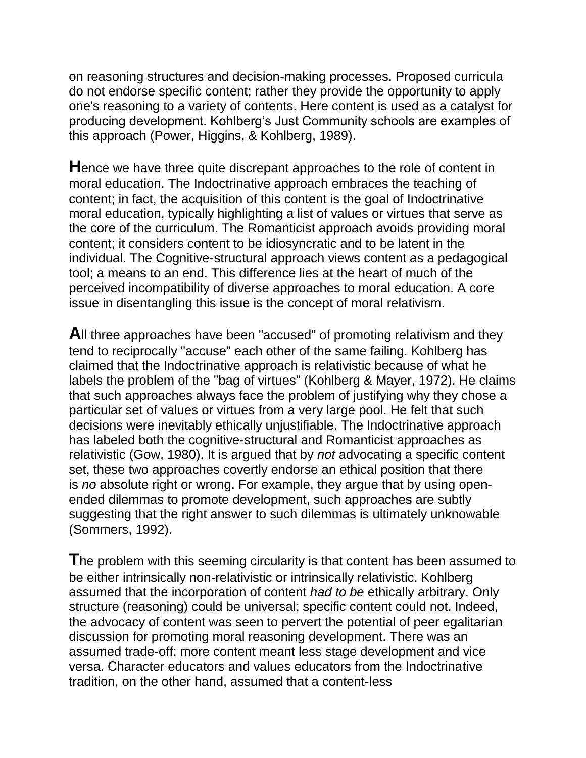on reasoning structures and decision-making processes. Proposed curricula do not endorse specific content; rather they provide the opportunity to apply one's reasoning to a variety of contents. Here content is used as a catalyst for producing development. Kohlberg's Just Community schools are examples of this approach (Power, Higgins, & Kohlberg, 1989).

**H**ence we have three quite discrepant approaches to the role of content in moral education. The Indoctrinative approach embraces the teaching of content; in fact, the acquisition of this content is the goal of Indoctrinative moral education, typically highlighting a list of values or virtues that serve as the core of the curriculum. The Romanticist approach avoids providing moral content; it considers content to be idiosyncratic and to be latent in the individual. The Cognitive-structural approach views content as a pedagogical tool; a means to an end. This difference lies at the heart of much of the perceived incompatibility of diverse approaches to moral education. A core issue in disentangling this issue is the concept of moral relativism.

**A**ll three approaches have been "accused" of promoting relativism and they tend to reciprocally "accuse" each other of the same failing. Kohlberg has claimed that the Indoctrinative approach is relativistic because of what he labels the problem of the "bag of virtues" (Kohlberg & Mayer, 1972). He claims that such approaches always face the problem of justifying why they chose a particular set of values or virtues from a very large pool. He felt that such decisions were inevitably ethically unjustifiable. The Indoctrinative approach has labeled both the cognitive-structural and Romanticist approaches as relativistic (Gow, 1980). It is argued that by *not* advocating a specific content set, these two approaches covertly endorse an ethical position that there is *no* absolute right or wrong. For example, they argue that by using openended dilemmas to promote development, such approaches are subtly suggesting that the right answer to such dilemmas is ultimately unknowable (Sommers, 1992).

**T**he problem with this seeming circularity is that content has been assumed to be either intrinsically non-relativistic or intrinsically relativistic. Kohlberg assumed that the incorporation of content *had to be* ethically arbitrary. Only structure (reasoning) could be universal; specific content could not. Indeed, the advocacy of content was seen to pervert the potential of peer egalitarian discussion for promoting moral reasoning development. There was an assumed trade-off: more content meant less stage development and vice versa. Character educators and values educators from the Indoctrinative tradition, on the other hand, assumed that a content-less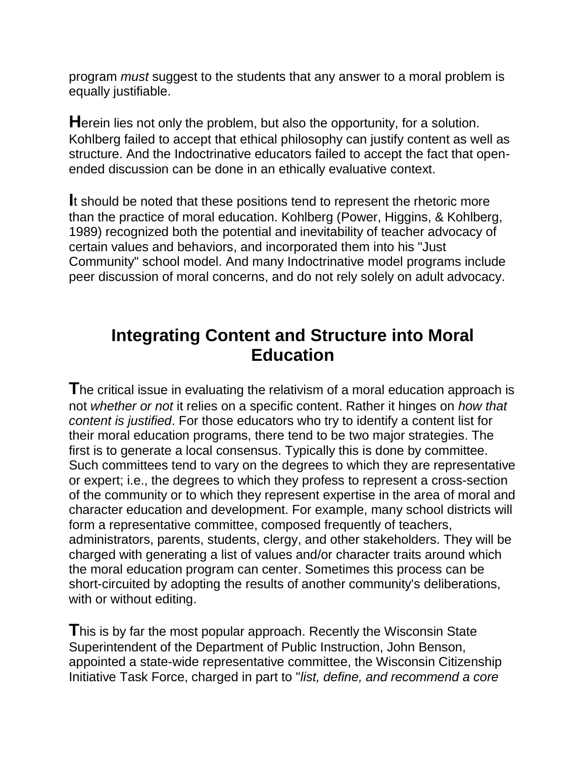program *must* suggest to the students that any answer to a moral problem is equally justifiable.

**H**erein lies not only the problem, but also the opportunity, for a solution. Kohlberg failed to accept that ethical philosophy can justify content as well as structure. And the Indoctrinative educators failed to accept the fact that openended discussion can be done in an ethically evaluative context.

**I**t should be noted that these positions tend to represent the rhetoric more than the practice of moral education. Kohlberg (Power, Higgins, & Kohlberg, 1989) recognized both the potential and inevitability of teacher advocacy of certain values and behaviors, and incorporated them into his "Just Community" school model. And many Indoctrinative model programs include peer discussion of moral concerns, and do not rely solely on adult advocacy.

## **Integrating Content and Structure into Moral Education**

**T**he critical issue in evaluating the relativism of a moral education approach is not *whether or not* it relies on a specific content. Rather it hinges on *how that content is justified*. For those educators who try to identify a content list for their moral education programs, there tend to be two major strategies. The first is to generate a local consensus. Typically this is done by committee. Such committees tend to vary on the degrees to which they are representative or expert; i.e., the degrees to which they profess to represent a cross-section of the community or to which they represent expertise in the area of moral and character education and development. For example, many school districts will form a representative committee, composed frequently of teachers, administrators, parents, students, clergy, and other stakeholders. They will be charged with generating a list of values and/or character traits around which the moral education program can center. Sometimes this process can be short-circuited by adopting the results of another community's deliberations, with or without editing.

**T**his is by far the most popular approach. Recently the Wisconsin State Superintendent of the Department of Public Instruction, John Benson, appointed a state-wide representative committee, the Wisconsin Citizenship Initiative Task Force, charged in part to "*list, define, and recommend a core*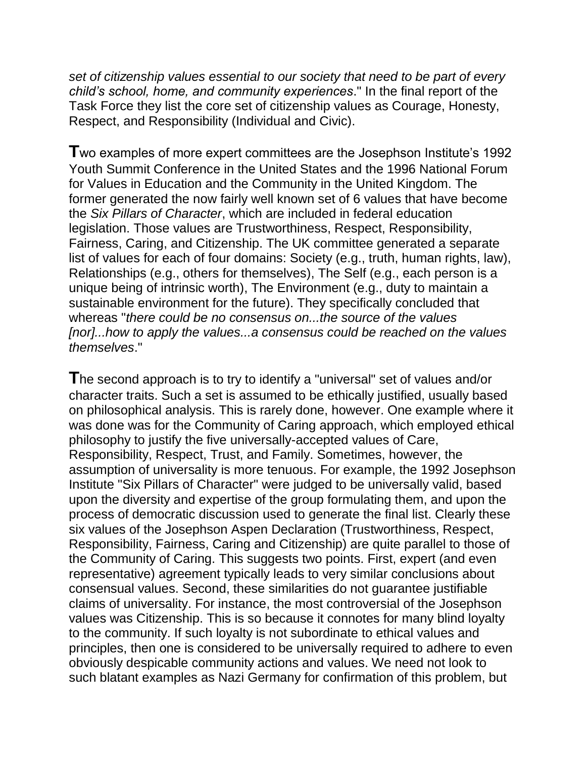*set of citizenship values essential to our society that need to be part of every child's school, home, and community experiences*." In the final report of the Task Force they list the core set of citizenship values as Courage, Honesty, Respect, and Responsibility (Individual and Civic).

**T**wo examples of more expert committees are the Josephson Institute's 1992 Youth Summit Conference in the United States and the 1996 National Forum for Values in Education and the Community in the United Kingdom. The former generated the now fairly well known set of 6 values that have become the *Six Pillars of Character*, which are included in federal education legislation. Those values are Trustworthiness, Respect, Responsibility, Fairness, Caring, and Citizenship. The UK committee generated a separate list of values for each of four domains: Society (e.g., truth, human rights, law), Relationships (e.g., others for themselves), The Self (e.g., each person is a unique being of intrinsic worth), The Environment (e.g., duty to maintain a sustainable environment for the future). They specifically concluded that whereas "*there could be no consensus on...the source of the values [nor]...how to apply the values...a consensus could be reached on the values themselves*."

**T**he second approach is to try to identify a "universal" set of values and/or character traits. Such a set is assumed to be ethically justified, usually based on philosophical analysis. This is rarely done, however. One example where it was done was for the Community of Caring approach, which employed ethical philosophy to justify the five universally-accepted values of Care, Responsibility, Respect, Trust, and Family. Sometimes, however, the assumption of universality is more tenuous. For example, the 1992 Josephson Institute "Six Pillars of Character" were judged to be universally valid, based upon the diversity and expertise of the group formulating them, and upon the process of democratic discussion used to generate the final list. Clearly these six values of the Josephson Aspen Declaration (Trustworthiness, Respect, Responsibility, Fairness, Caring and Citizenship) are quite parallel to those of the Community of Caring. This suggests two points. First, expert (and even representative) agreement typically leads to very similar conclusions about consensual values. Second, these similarities do not guarantee justifiable claims of universality. For instance, the most controversial of the Josephson values was Citizenship. This is so because it connotes for many blind loyalty to the community. If such loyalty is not subordinate to ethical values and principles, then one is considered to be universally required to adhere to even obviously despicable community actions and values. We need not look to such blatant examples as Nazi Germany for confirmation of this problem, but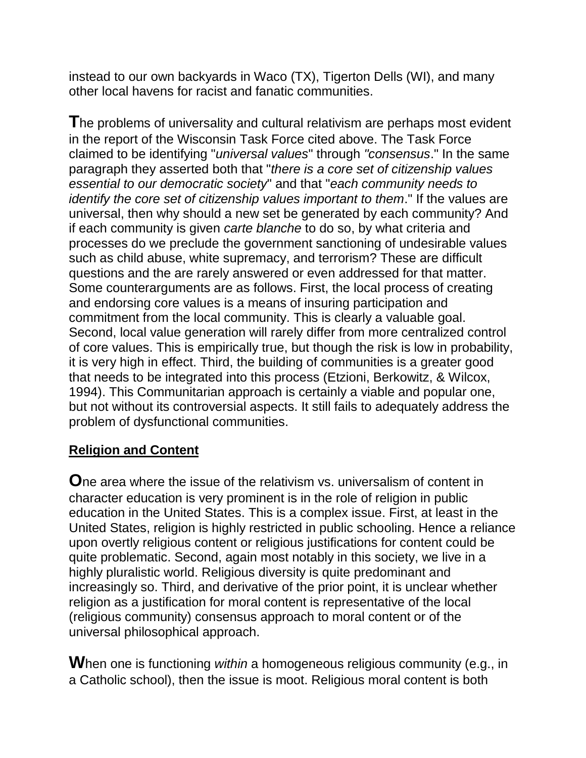instead to our own backyards in Waco (TX), Tigerton Dells (WI), and many other local havens for racist and fanatic communities.

**T**he problems of universality and cultural relativism are perhaps most evident in the report of the Wisconsin Task Force cited above. The Task Force claimed to be identifying "*universal values*" through *"consensus*." In the same paragraph they asserted both that "*there is a core set of citizenship values essential to our democratic society*" and that "*each community needs to identify the core set of citizenship values important to them*." If the values are universal, then why should a new set be generated by each community? And if each community is given *carte blanche* to do so, by what criteria and processes do we preclude the government sanctioning of undesirable values such as child abuse, white supremacy, and terrorism? These are difficult questions and the are rarely answered or even addressed for that matter. Some counterarguments are as follows. First, the local process of creating and endorsing core values is a means of insuring participation and commitment from the local community. This is clearly a valuable goal. Second, local value generation will rarely differ from more centralized control of core values. This is empirically true, but though the risk is low in probability, it is very high in effect. Third, the building of communities is a greater good that needs to be integrated into this process (Etzioni, Berkowitz, & Wilcox, 1994). This Communitarian approach is certainly a viable and popular one, but not without its controversial aspects. It still fails to adequately address the problem of dysfunctional communities.

### **Religion and Content**

**O**ne area where the issue of the relativism vs. universalism of content in character education is very prominent is in the role of religion in public education in the United States. This is a complex issue. First, at least in the United States, religion is highly restricted in public schooling. Hence a reliance upon overtly religious content or religious justifications for content could be quite problematic. Second, again most notably in this society, we live in a highly pluralistic world. Religious diversity is quite predominant and increasingly so. Third, and derivative of the prior point, it is unclear whether religion as a justification for moral content is representative of the local (religious community) consensus approach to moral content or of the universal philosophical approach.

**W**hen one is functioning *within* a homogeneous religious community (e.g., in a Catholic school), then the issue is moot. Religious moral content is both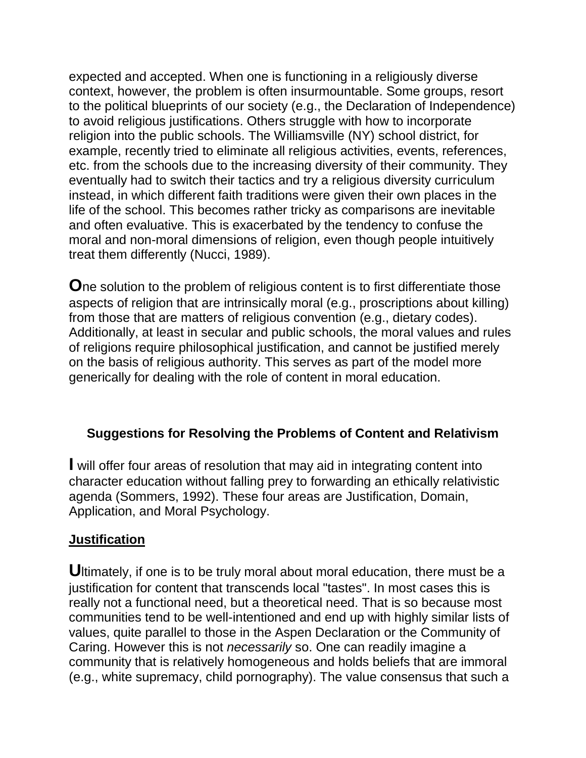expected and accepted. When one is functioning in a religiously diverse context, however, the problem is often insurmountable. Some groups, resort to the political blueprints of our society (e.g., the Declaration of Independence) to avoid religious justifications. Others struggle with how to incorporate religion into the public schools. The Williamsville (NY) school district, for example, recently tried to eliminate all religious activities, events, references, etc. from the schools due to the increasing diversity of their community. They eventually had to switch their tactics and try a religious diversity curriculum instead, in which different faith traditions were given their own places in the life of the school. This becomes rather tricky as comparisons are inevitable and often evaluative. This is exacerbated by the tendency to confuse the moral and non-moral dimensions of religion, even though people intuitively treat them differently (Nucci, 1989).

**O**ne solution to the problem of religious content is to first differentiate those aspects of religion that are intrinsically moral (e.g., proscriptions about killing) from those that are matters of religious convention (e.g., dietary codes). Additionally, at least in secular and public schools, the moral values and rules of religions require philosophical justification, and cannot be justified merely on the basis of religious authority. This serves as part of the model more generically for dealing with the role of content in moral education.

### **Suggestions for Resolving the Problems of Content and Relativism**

**I** will offer four areas of resolution that may aid in integrating content into character education without falling prey to forwarding an ethically relativistic agenda (Sommers, 1992). These four areas are Justification, Domain, Application, and Moral Psychology.

#### **Justification**

**U**ltimately, if one is to be truly moral about moral education, there must be a justification for content that transcends local "tastes". In most cases this is really not a functional need, but a theoretical need. That is so because most communities tend to be well-intentioned and end up with highly similar lists of values, quite parallel to those in the Aspen Declaration or the Community of Caring. However this is not *necessarily* so. One can readily imagine a community that is relatively homogeneous and holds beliefs that are immoral (e.g., white supremacy, child pornography). The value consensus that such a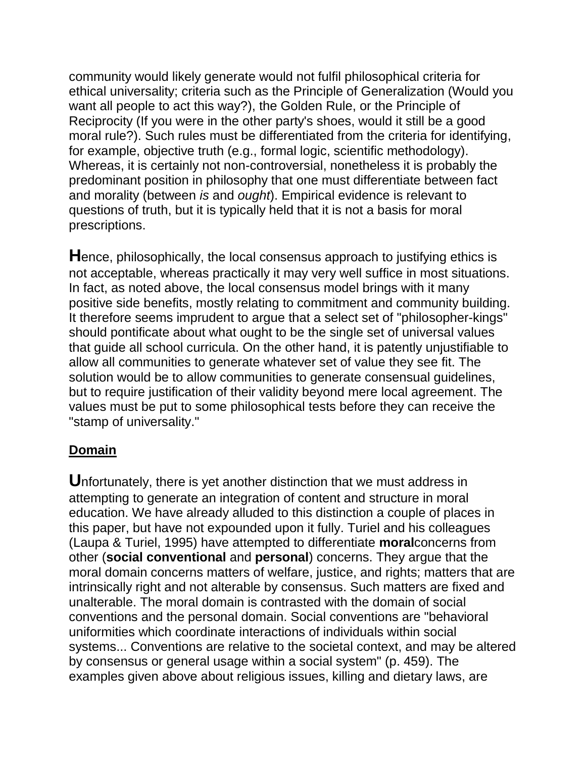community would likely generate would not fulfil philosophical criteria for ethical universality; criteria such as the Principle of Generalization (Would you want all people to act this way?), the Golden Rule, or the Principle of Reciprocity (If you were in the other party's shoes, would it still be a good moral rule?). Such rules must be differentiated from the criteria for identifying, for example, objective truth (e.g., formal logic, scientific methodology). Whereas, it is certainly not non-controversial, nonetheless it is probably the predominant position in philosophy that one must differentiate between fact and morality (between *is* and *ought*). Empirical evidence is relevant to questions of truth, but it is typically held that it is not a basis for moral prescriptions.

**H**ence, philosophically, the local consensus approach to justifying ethics is not acceptable, whereas practically it may very well suffice in most situations. In fact, as noted above, the local consensus model brings with it many positive side benefits, mostly relating to commitment and community building. It therefore seems imprudent to argue that a select set of "philosopher-kings" should pontificate about what ought to be the single set of universal values that guide all school curricula. On the other hand, it is patently unjustifiable to allow all communities to generate whatever set of value they see fit. The solution would be to allow communities to generate consensual guidelines, but to require justification of their validity beyond mere local agreement. The values must be put to some philosophical tests before they can receive the "stamp of universality."

### **Domain**

**U**nfortunately, there is yet another distinction that we must address in attempting to generate an integration of content and structure in moral education. We have already alluded to this distinction a couple of places in this paper, but have not expounded upon it fully. Turiel and his colleagues (Laupa & Turiel, 1995) have attempted to differentiate **moral**concerns from other (**social conventional** and **personal**) concerns. They argue that the moral domain concerns matters of welfare, justice, and rights; matters that are intrinsically right and not alterable by consensus. Such matters are fixed and unalterable. The moral domain is contrasted with the domain of social conventions and the personal domain. Social conventions are "behavioral uniformities which coordinate interactions of individuals within social systems... Conventions are relative to the societal context, and may be altered by consensus or general usage within a social system" (p. 459). The examples given above about religious issues, killing and dietary laws, are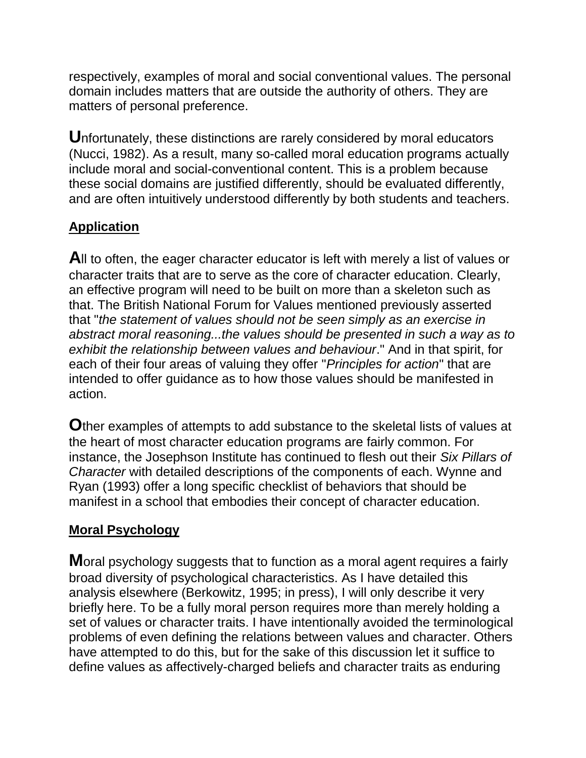respectively, examples of moral and social conventional values. The personal domain includes matters that are outside the authority of others. They are matters of personal preference.

**U**nfortunately, these distinctions are rarely considered by moral educators (Nucci, 1982). As a result, many so-called moral education programs actually include moral and social-conventional content. This is a problem because these social domains are justified differently, should be evaluated differently, and are often intuitively understood differently by both students and teachers.

## **Application**

**A**ll to often, the eager character educator is left with merely a list of values or character traits that are to serve as the core of character education. Clearly, an effective program will need to be built on more than a skeleton such as that. The British National Forum for Values mentioned previously asserted that "*the statement of values should not be seen simply as an exercise in abstract moral reasoning...the values should be presented in such a way as to exhibit the relationship between values and behaviour*." And in that spirit, for each of their four areas of valuing they offer "*Principles for action*" that are intended to offer guidance as to how those values should be manifested in action.

**O**ther examples of attempts to add substance to the skeletal lists of values at the heart of most character education programs are fairly common. For instance, the Josephson Institute has continued to flesh out their *Six Pillars of Character* with detailed descriptions of the components of each. Wynne and Ryan (1993) offer a long specific checklist of behaviors that should be manifest in a school that embodies their concept of character education.

### **Moral Psychology**

**M**oral psychology suggests that to function as a moral agent requires a fairly broad diversity of psychological characteristics. As I have detailed this analysis elsewhere (Berkowitz, 1995; in press), I will only describe it very briefly here. To be a fully moral person requires more than merely holding a set of values or character traits. I have intentionally avoided the terminological problems of even defining the relations between values and character. Others have attempted to do this, but for the sake of this discussion let it suffice to define values as affectively-charged beliefs and character traits as enduring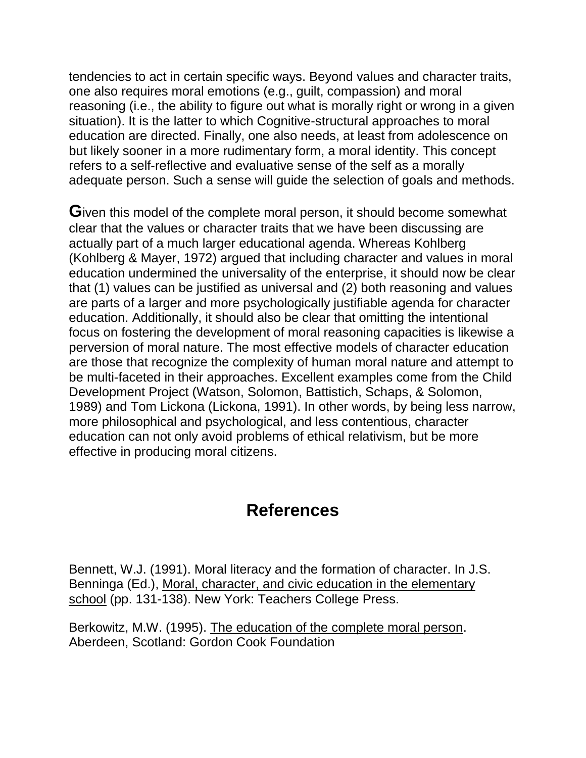tendencies to act in certain specific ways. Beyond values and character traits, one also requires moral emotions (e.g., guilt, compassion) and moral reasoning (i.e., the ability to figure out what is morally right or wrong in a given situation). It is the latter to which Cognitive-structural approaches to moral education are directed. Finally, one also needs, at least from adolescence on but likely sooner in a more rudimentary form, a moral identity. This concept refers to a self-reflective and evaluative sense of the self as a morally adequate person. Such a sense will guide the selection of goals and methods.

**G**iven this model of the complete moral person, it should become somewhat clear that the values or character traits that we have been discussing are actually part of a much larger educational agenda. Whereas Kohlberg (Kohlberg & Mayer, 1972) argued that including character and values in moral education undermined the universality of the enterprise, it should now be clear that (1) values can be justified as universal and (2) both reasoning and values are parts of a larger and more psychologically justifiable agenda for character education. Additionally, it should also be clear that omitting the intentional focus on fostering the development of moral reasoning capacities is likewise a perversion of moral nature. The most effective models of character education are those that recognize the complexity of human moral nature and attempt to be multi-faceted in their approaches. Excellent examples come from the Child Development Project (Watson, Solomon, Battistich, Schaps, & Solomon, 1989) and Tom Lickona (Lickona, 1991). In other words, by being less narrow, more philosophical and psychological, and less contentious, character education can not only avoid problems of ethical relativism, but be more effective in producing moral citizens.

## **References**

Bennett, W.J. (1991). Moral literacy and the formation of character. In J.S. Benninga (Ed.), Moral, character, and civic education in the elementary school (pp. 131-138). New York: Teachers College Press.

Berkowitz, M.W. (1995). The education of the complete moral person. Aberdeen, Scotland: Gordon Cook Foundation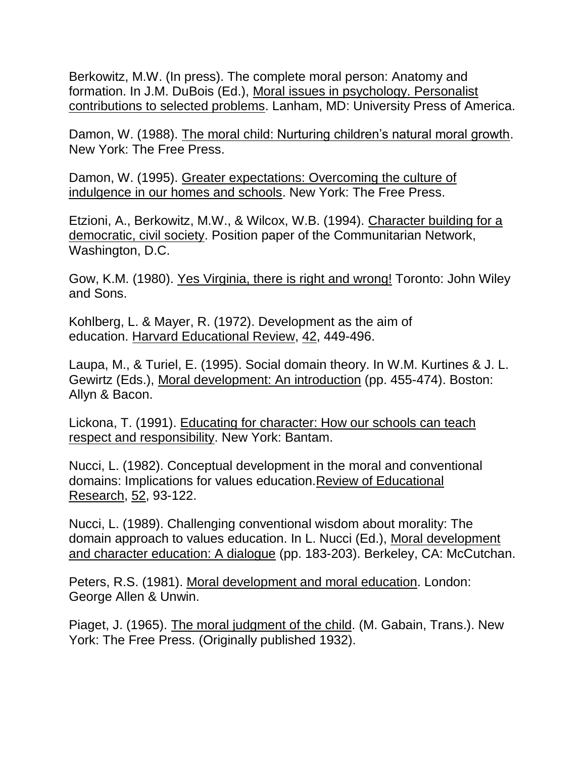Berkowitz, M.W. (In press). The complete moral person: Anatomy and formation. In J.M. DuBois (Ed.), Moral issues in psychology. Personalist contributions to selected problems. Lanham, MD: University Press of America.

Damon, W. (1988). The moral child: Nurturing children's natural moral growth. New York: The Free Press.

Damon, W. (1995). Greater expectations: Overcoming the culture of indulgence in our homes and schools. New York: The Free Press.

Etzioni, A., Berkowitz, M.W., & Wilcox, W.B. (1994). Character building for a democratic, civil society. Position paper of the Communitarian Network, Washington, D.C.

Gow, K.M. (1980). Yes Virginia, there is right and wrong! Toronto: John Wiley and Sons.

Kohlberg, L. & Mayer, R. (1972). Development as the aim of education. Harvard Educational Review, 42, 449-496.

Laupa, M., & Turiel, E. (1995). Social domain theory. In W.M. Kurtines & J. L. Gewirtz (Eds.), Moral development: An introduction (pp. 455-474). Boston: Allyn & Bacon.

Lickona, T. (1991). Educating for character: How our schools can teach respect and responsibility. New York: Bantam.

Nucci, L. (1982). Conceptual development in the moral and conventional domains: Implications for values education.Review of Educational Research, 52, 93-122.

Nucci, L. (1989). Challenging conventional wisdom about morality: The domain approach to values education. In L. Nucci (Ed.), Moral development and character education: A dialogue (pp. 183-203). Berkeley, CA: McCutchan.

Peters, R.S. (1981). Moral development and moral education. London: George Allen & Unwin.

Piaget, J. (1965). The moral judgment of the child. (M. Gabain, Trans.). New York: The Free Press. (Originally published 1932).